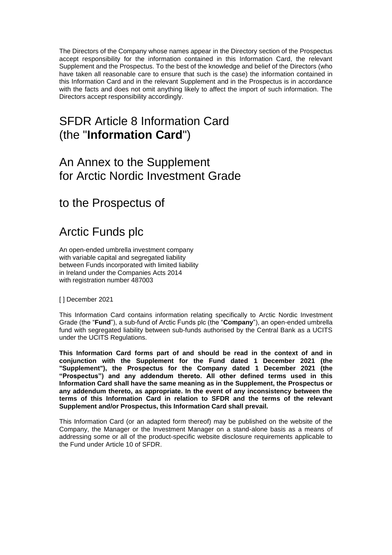The Directors of the Company whose names appear in the Directory section of the Prospectus accept responsibility for the information contained in this Information Card, the relevant Supplement and the Prospectus. To the best of the knowledge and belief of the Directors (who have taken all reasonable care to ensure that such is the case) the information contained in this Information Card and in the relevant Supplement and in the Prospectus is in accordance with the facts and does not omit anything likely to affect the import of such information. The Directors accept responsibility accordingly.

# SFDR Article 8 Information Card (the "**Information Card**")

## An Annex to the Supplement for Arctic Nordic Investment Grade

to the Prospectus of

# Arctic Funds plc

An open-ended umbrella investment company with variable capital and segregated liability between Funds incorporated with limited liability in Ireland under the Companies Acts 2014 with registration number 487003

[] December 2021

This Information Card contains information relating specifically to Arctic Nordic Investment Grade (the "**Fund**"), a sub-fund of Arctic Funds plc (the "**Company**"), an open-ended umbrella fund with segregated liability between sub-funds authorised by the Central Bank as a UCITS under the UCITS Regulations.

**This Information Card forms part of and should be read in the context of and in conjunction with the Supplement for the Fund dated 1 December 2021 (the "Supplement"), the Prospectus for the Company dated 1 December 2021 (the "Prospectus") and any addendum thereto. All other defined terms used in this Information Card shall have the same meaning as in the Supplement, the Prospectus or any addendum thereto, as appropriate. In the event of any inconsistency between the terms of this Information Card in relation to SFDR and the terms of the relevant Supplement and/or Prospectus, this Information Card shall prevail.**

This Information Card (or an adapted form thereof) may be published on the website of the Company, the Manager or the Investment Manager on a stand-alone basis as a means of addressing some or all of the product-specific website disclosure requirements applicable to the Fund under Article 10 of SFDR.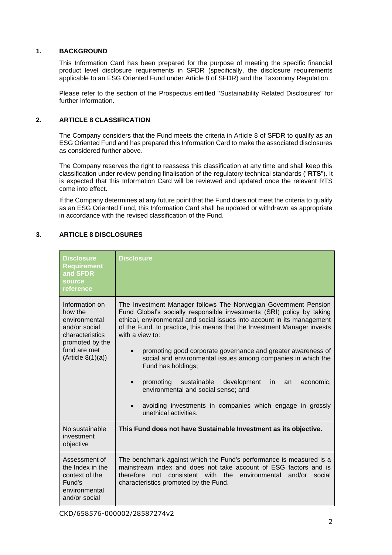#### **1. BACKGROUND**

This Information Card has been prepared for the purpose of meeting the specific financial product level disclosure requirements in SFDR (specifically, the disclosure requirements applicable to an ESG Oriented Fund under Article 8 of SFDR) and the Taxonomy Regulation.

Please refer to the section of the Prospectus entitled "Sustainability Related Disclosures" for further information.

### **2. ARTICLE 8 CLASSIFICATION**

The Company considers that the Fund meets the criteria in Article 8 of SFDR to qualify as an ESG Oriented Fund and has prepared this Information Card to make the associated disclosures as considered further above.

The Company reserves the right to reassess this classification at any time and shall keep this classification under review pending finalisation of the regulatory technical standards ("**RTS**"). It is expected that this Information Card will be reviewed and updated once the relevant RTS come into effect.

If the Company determines at any future point that the Fund does not meet the criteria to qualify as an ESG Oriented Fund, this Information Card shall be updated or withdrawn as appropriate in accordance with the revised classification of the Fund.

### **3. ARTICLE 8 DISCLOSURES**

| <b>Disclosure</b><br><b>Requirement</b><br>and SFDR<br>source<br>reference                                                              | <b>Disclosure</b>                                                                                                                                                                                                                                                                                                                                                                                                                                                                                                                                                                                                                                                          |
|-----------------------------------------------------------------------------------------------------------------------------------------|----------------------------------------------------------------------------------------------------------------------------------------------------------------------------------------------------------------------------------------------------------------------------------------------------------------------------------------------------------------------------------------------------------------------------------------------------------------------------------------------------------------------------------------------------------------------------------------------------------------------------------------------------------------------------|
| Information on<br>how the<br>environmental<br>and/or social<br>characteristics<br>promoted by the<br>fund are met<br>(Ariticle 8(1)(a)) | The Investment Manager follows The Norwegian Government Pension<br>Fund Global's socially responsible investments (SRI) policy by taking<br>ethical, environmental and social issues into account in its management<br>of the Fund. In practice, this means that the Investment Manager invests<br>with a view to:<br>promoting good corporate governance and greater awareness of<br>social and environmental issues among companies in which the<br>Fund has holdings;<br>promoting<br>sustainable<br>development<br>economic,<br>in.<br>an<br>environmental and social sense; and<br>avoiding investments in companies which engage in grossly<br>unethical activities. |
| No sustainable<br>investment<br>objective                                                                                               | This Fund does not have Sustainable Investment as its objective.                                                                                                                                                                                                                                                                                                                                                                                                                                                                                                                                                                                                           |
| Assessment of<br>the Index in the<br>context of the<br>Fund's<br>environmental<br>and/or social                                         | The benchmark against which the Fund's performance is measured is a<br>mainstream index and does not take account of ESG factors and is<br>not consistent with the environmental<br>and/or<br>therefore<br>social<br>characteristics promoted by the Fund.                                                                                                                                                                                                                                                                                                                                                                                                                 |